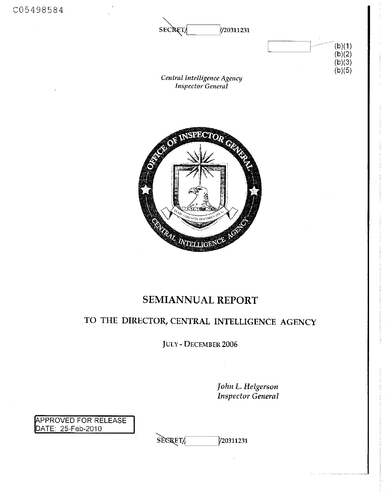C0549858 4

SECRET<sub>/</sub> //20311231



*Central Intelligence Agency Inspector General* 



## **SEMIANNUAL REPORT**

# **TO THE DIRECTOR, CENTRAL INTELLIGENCE AGENCY**

**JULY - DECEMBER 2006** 

*John L. Helgerson Inspector General* 

**APPROVED FOR RELEASE DATE: 25-Feb-2010** 

> **SEGRET** /20311231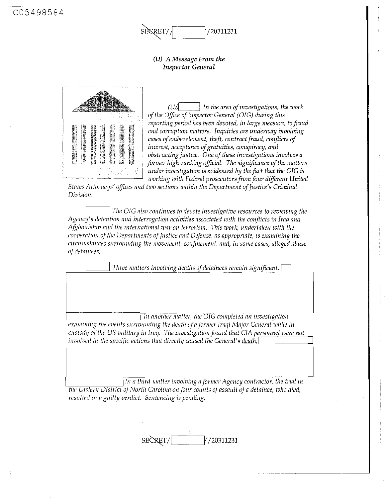

#### *(U) A Message From the Inspector General*



*{U/\ hi the area of investigations, the work of the Office of Inspector General (OIG) during this reporting period has been devoted, in large measure, to fraud and corruption matters. Inquiries are underway involving cases of embezzlement, theft, contract fraud, conflicts of interest, acceptance of gratuities, conspiracy, and obstructing justice. One of these investigations involves a former high-ranking official. Tlte significance of the matters under investigation is evidenced by the fact that the OIG is working with Federal prosecutors from four different United* 

*States Attorneys' offices and two sections within the Department of Justice's Criminal Division.* 

*The OIG also continues to devote investigative resources to reviexinng the Agency's detention and interrogation activities associated with the conflicts in Iraq and Afghanistan and the international war on terrorism. This xoork, undertaken with the cooperation of the Departments of Justice and Defense, as appropriate, is examining the circumstances surrounding the movement, confinement, and, in some cases, alleged abuse ofdelaiuees.* 

*Three matters involving deaths of detainees remain significant.* 

*in another matter, the OIG completed an investigation examining the events surrounding the death of a former Iraqi Major General while in custody of the US military in Iraq. The investigation found that CIA personnel were not involved in the specific actions that directly caused the General's death*,

*In a third matter involving a former Agency contractor, the trial in the Eastern District of North Carolina on four counts of assault of a detainee, who died, resulted in a guilty verdict. Sentencing is pending.* 

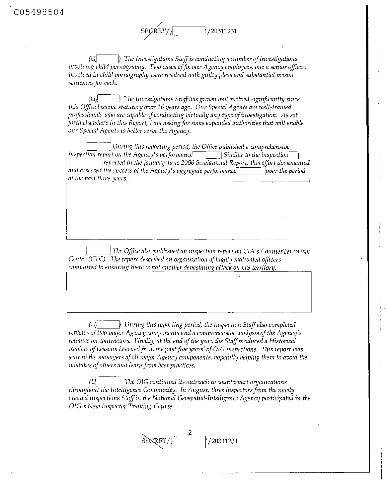

*di ) The Investigations Staff is conducting a number of investigations involving child pornography. Two cases of former Agency employees, one a senior officer, involved in child pornography were resolved with guilty pleas and substantial prison sentences for each.* 

*(U/ [ '¡'he investigations Staff has grown and evolved significantly since this Office became statutory over 16 years ago. Our Special Agents are well-trained professionals xvho are capable of conducting virtually any type of investigation. As set forth elsewhere in this Report, I am asking for some expanded authorities that will enable our Special Agents to better serve the Agency.* 

*Daring this reporting period, the Office published a comprehensive inspection report on the Agency's performance* Similar to the inspection *\reported in the January-June 2006 Semiannual Report, this effort documented and assessed the success of the Agency's aggregate performance over the period of the past three years.* 

*The Office also published an inspection report on CIA's CounterTerrorism Center (CTC). The report described an organization of highly motivated officers committed to ensuring there is not another devastating attack on US territory.* 

*(U ) During this reporting period, the Inspection Staff also completed reviews of two major Agency components and a comprehensive analysis of the Agency's reliance on contractors. Finally, at the end of the year, the Staff produced a Historical Review of Lessons Learned from the past five years' of OIG inspections. This report was sent to the managers of all major Agency components, hopefully helping them to avoid the mistakes of others and learn from best practices.* 

*(U The OIG continued its outreach to counterpart organizations throughout the Intelligence Community. In August, three inspectors from the newly created Inspections Staff in the National Geospatial-Intelligence Agency participated in the OlG's New Inspector Training Course.* 

sfes^ET/ 720311231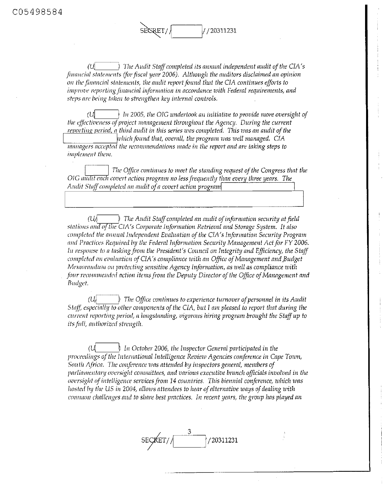SEKRET/ ) //20311231

(M *3 The Audit Staff completed its annual independent audit of the CIA's financial statements (for fiscal year 2006). Although the auditors disclaimed an opinion on the financial statements, the audit report found that the CIA continues efforts to improve reporting financial information in accordance with Federal requirements, and steps are being taken to strengthen key internal controls.* 

*(U In 2005, the OIG undertook an initiative to provide more oversight of the effectiveness of project management throughout the Agency. During the current reporting period, a third audit in this series was completed. This was an audit of the which found that, overall, the program was well managed. CIA* 

*managers accepted the recommendations made in the report and are taking steps to implement them.* 

*The Office continues to meet the standing request of the Congress that the OIG audit each covert action program no less frequently than every three years. The Audit Staff completed an audit of a covert action program* 

*(U/j*  $\qquad$ ) The Audit Staff completed an audit of information security at field *stations and of the CIA's Corporate Information Retrieval and Storage System. It also completed the annual Independent Evaluation of the CIA's Information Security Program and Practices Required by Ihe Federal Information Security Management Act for FY 2006. In response to a tasking from the President's Council on Integrity and Efficiency, the Staff completed an evaluation of CIA's compliance with an Office of Management and Budget Memorandum on protecting sensitive Agency Information, as well as compliance xvith four recommended action items from the Deputy Director of the Office of Management and Budget.* 

*(LI/ |) The Office continues to experience turnover of personnel in its Audit Staff, especially to other components of the CIA, but I am pleased to report that during the current reporting period, a longstanding, vigorous hiring program brought the Staff up to its full, authorized strength.* 

*(U| j) In October 2006, the Inspector General participated in the proceedings of the International Intelligence Reviexv Agencies conference in Cape Toxvn, South Africa. The conference xvas attended by inspectors general, members of parliamentary oxvrsight committees, and various executive branch officials involved in the oversight of intelligence services from 14 countries. This biennial conference, which xoas hosted by the US in 2004, allows attendees to hear of alternative xoays of dealing xvith common challenges and to share best practices. In recent years, the group has played an* 

 $SE\left(\sqrt{\frac{3}{\sqrt{20311231}}} \right)$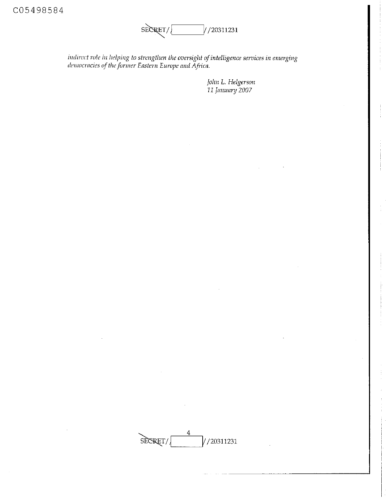SECRET/ $\sqrt{\frac{20311231}{20311231}}$ 

*indirect role in helping to strengthen the oversight of intelligence services in emerging democracies of the former Eastern Europe and Africa.* 

> *John L. Helgerson 11 January 2007*

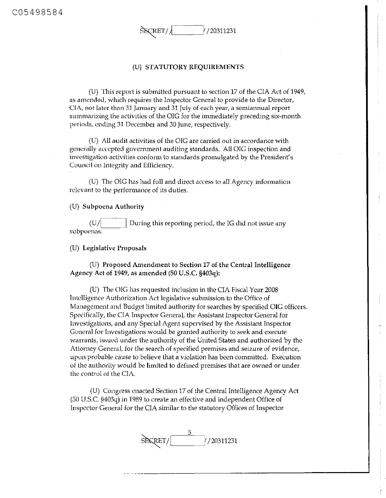SECRET/  $\frac{1}{20311231}$ 

#### **(U) STATUTORY REQUIREMENTS**

(U) This report is submitted pursuant to section 17 of the CIA Act of 1949, as amended, which requires the Inspector General to provide to the Director, CIA, not later than 31 January and 31 July of each year, a semiannual report summarizing the activities of the OIG for the immediately preceding six-month periods, ending 31 December and 30 June, respectively.

(U) All audit activities of the OIG are carried out in accordance with generally accepted government auditing standards. All OIG inspection and investigation activities conform to standards promulgated by the President's Council on Integrity and Efficiency.

(U) The OIG has had full and direct access to all Agency information relevant to the performance of its duties.

(U) **Subpoena Authority** 

 $(U/$  During this reporting period, the IG did not issue any subpoenas.

(U) **Legislative Proposals** 

(U) **Proposed Amendment to Section** 17 **of the Central Intelligence Agency Act of** 1949, **as amended** (50 **U.S.C.** §403q):

(U) The OIG has requested inclusion in the CIA Fiscal Year 2008 Intelligence Authorization Act legislative submission to the Office of Management and Budget limited authority for searches by specified OIG officers. Specifically, the CIA Inspector General, the Assistant Inspector General for Investigations, and any Special Agent supervised by the Assistant Inspector General for Investigations would be granted authority to seek and execute warrants, issued under the authority of the United States and authorized by the Attorney General, for the search of specified premises and seizure of evidence, upon probable cause to believe that a violation has been committed. Execution of the authority would be limited to defined premises that are owned or under the control of the CIA.

(U) Congress enacted Section 17 of the Central Intelligence Agency Act (50 U.S.C. §403q) in 1989 to create an effective and independent Office of Inspector General for the CIA similar to the statutory Offices of Inspector

SfcqRET/ /20311231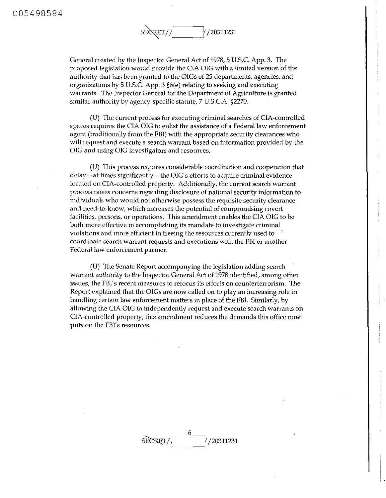$SECRET/\sim$  7 20311231

General created by the Inspector General Act of 1978, 5 U.S.C. App. 3. The proposed legislation would provide the CIA OIG with a limited version of the authority that has been granted to the OIGs of 25 departments, agencies, and organizations by 5 U.S.C. App. 3 §6(e) relating to seeking and executing warrants. The Inspector General for the Department of Agriculture is granted similar authority by agency-specific statute, 7 U.S.C.A. §2270.

(U) The current process for executing criminal searches of CIA-controlled spaces requires the CIA OIG to enlist the assistance of a Federal law enforcement agent (traditionally from the FBI) with the appropriate security clearances who will request and execute a search warrant based on information provided by the OIG and using OIG investigators and resources.

(U) This process requires considerable coordination and cooperation that delay —at times significantly — the OIG's efforts to acquire criminal evidence located on CIA-controlled property. Additionally, the current search warrant process raises concerns regarding disclosure of national security information to individuals who would not otherwise possess the requisite security clearance and need-to-know, which increases the potential of compromising covert facilities, persons, or operations. This amendment enables the CIA OIG to be both more effective in accomplishing its mandate to investigate criminal violations and more efficient in freeing the resources currently used to ' coordinate search warrant requests and executions with the FBI or another Federal law enforcement partner.

(U) The Senate Report accompanying the legislation adding search warrant authority to the Inspector General Act of 1978 identified, among other issues, the FBI's recent measures to refocus its efforts on counterterrorism. The Report explained that the OIGs are now called on to play an increasing role in handling certain law enforcement matters in place of the FBI. Similarly, by allowing the CIA OIG to independently request and execute search warrants on CIA-controlled property, this amendment reduces the demands this office now puts on the FBI's resources.

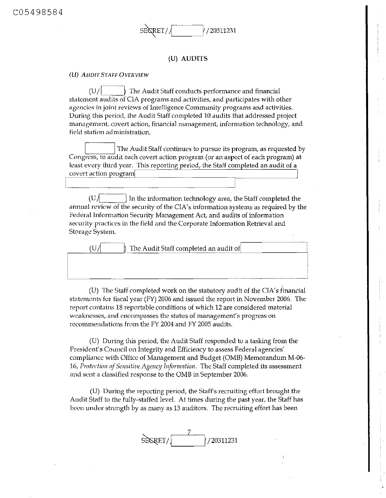# SECRET// V20311231

### **(U) AUDITS**

*(U) AUDIT STAFF OVERVIEW* 

 $(U/$  The Audit Staff conducts performance and financial statement audits of CIA programs and activities, and participates with other agencies in joint reviews of Intelligence Community programs and activities. During this period, the Audit Staff completed 10 audits that addressed project management, covert action, financial management, information technology, and field station administration.

The Audit Staff continues to pursue its program, as requested by Congress, to audit each covert action program (or an aspect of each program) at least every third year. This reporting period, the Staff completed an audit of a covert action program

 $(U/$  In the information technology area, the Staff completed the annual review of the security of the CIA's information systems as required by the Federal Information Security Management Act, and audits of information security practices in the field and the Corporate Information Retrieval and Storage System.

 $(U/$ The Audit Staff completed an audit of

(U) The Staff completed work on the statutory audit of the CIA's financial statements for fiscal year (FY) 2006 and issued the report in November 2006. The report contains 18 reportable conditions of which 12 are considered material weaknesses, and encompasses the status of management's progress on recommendations from the FY 2004 and FY 2005 audits.

(U) During this period, the Audit Staff responded to a tasking from the President's Council on Integrity and Efficiency to assess Federal agencies' compliance with Office of Management and Budget (OMB) Memorandum M-06- 16, *Protection of Sensitive Agency Information.* The Staff completed its assessment and sent a classified response to the OMB in September 2006.

(U) During the reporting period, the Staff's recruiting effort brought the Audit Staff to the fully-staffed level. At times during the past year, the Staff has been under strength by as many as 13 auditors. The recruiting effort has been

 $\frac{7}{3588ETT/}$  / 20311231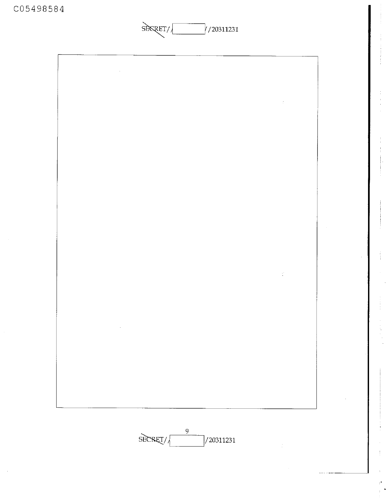

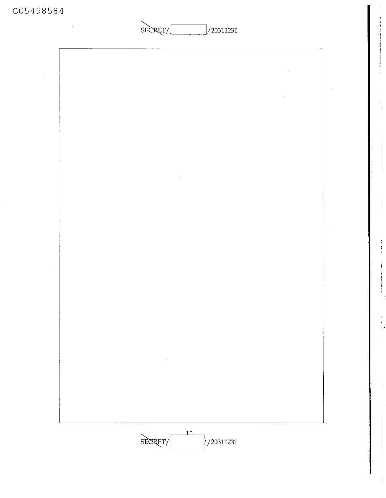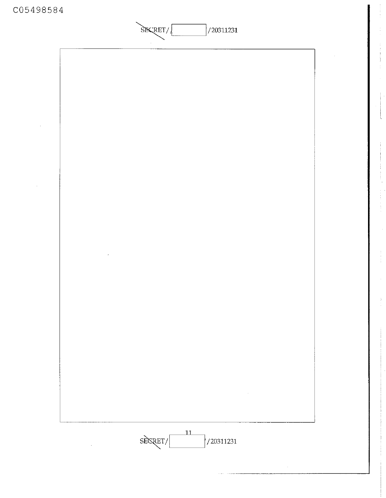l,

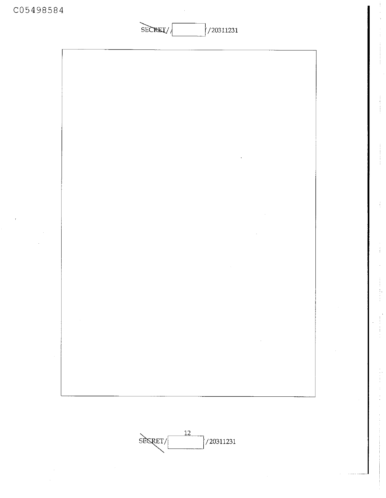

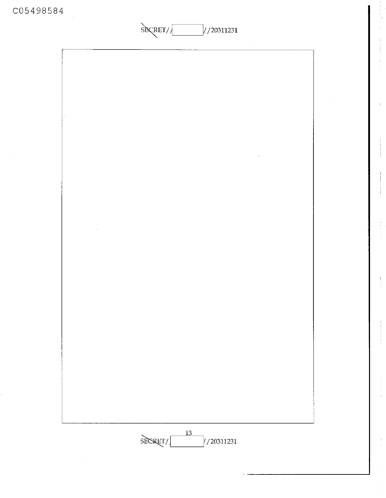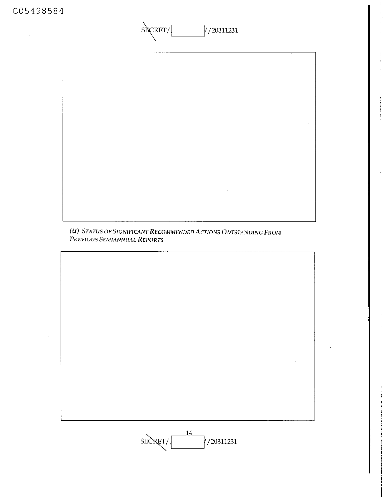$\hat{\boldsymbol{\beta}}$ 



*(U) STATUS OF SIGNIFICANT RECOMMENDED ACTIONS OUTSTANDING FROM PREVIOUS SEMIANNUAL REPORTS* 

 $14$  $SECRET/\sqrt{20311231}$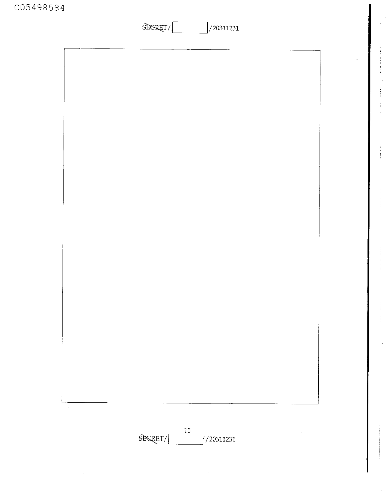| $\texttt{SEGRET}/\textcolor{red}{\overbrace{\text{COS11231}}}$ |                                                                                                                             |  |
|----------------------------------------------------------------|-----------------------------------------------------------------------------------------------------------------------------|--|
|                                                                | $\mathcal{L}^{\mathcal{L}}$ and $\mathcal{L}^{\mathcal{L}}$ and $\mathcal{L}^{\mathcal{L}}$ and $\mathcal{L}^{\mathcal{L}}$ |  |
|                                                                |                                                                                                                             |  |
|                                                                |                                                                                                                             |  |
|                                                                |                                                                                                                             |  |
|                                                                |                                                                                                                             |  |
|                                                                |                                                                                                                             |  |
|                                                                | $\sim 10^{11}$ m $^{-1}$                                                                                                    |  |
|                                                                |                                                                                                                             |  |
|                                                                |                                                                                                                             |  |

 $15$  $S$ BSRET/ $\left\lceil$  $\frac{20311231}{ }$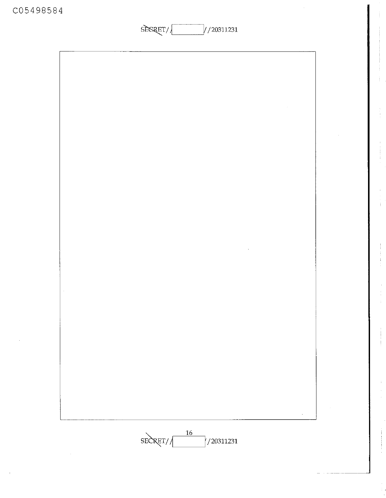|         | $SESRET / \sqrt{2\pi r^2}$ | $\frac{1}{20311231}$ |  |
|---------|----------------------------|----------------------|--|
|         |                            |                      |  |
|         |                            |                      |  |
|         |                            |                      |  |
|         |                            |                      |  |
|         |                            |                      |  |
|         |                            |                      |  |
|         |                            |                      |  |
|         |                            |                      |  |
|         |                            |                      |  |
| $\cdot$ |                            |                      |  |
|         |                            |                      |  |
|         |                            |                      |  |
|         |                            |                      |  |
|         |                            |                      |  |

 $SECRET / \sqrt{\frac{16}{\sqrt{16}}$  $7/20311231$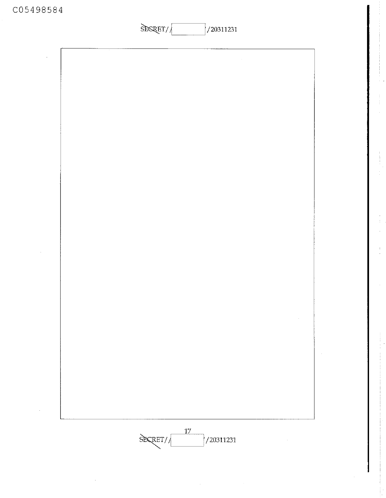|  | $\sim 10^{11}$ m $^{-1}$ |  |
|--|--------------------------|--|
|  |                          |  |
|  |                          |  |
|  |                          |  |
|  |                          |  |
|  |                          |  |
|  |                          |  |
|  |                          |  |
|  |                          |  |
|  |                          |  |
|  |                          |  |
|  |                          |  |
|  |                          |  |
|  |                          |  |
|  |                          |  |
|  |                          |  |
|  |                          |  |
|  |                          |  |
|  |                          |  |
|  |                          |  |
|  |                          |  |
|  |                          |  |
|  |                          |  |
|  |                          |  |
|  |                          |  |
|  |                          |  |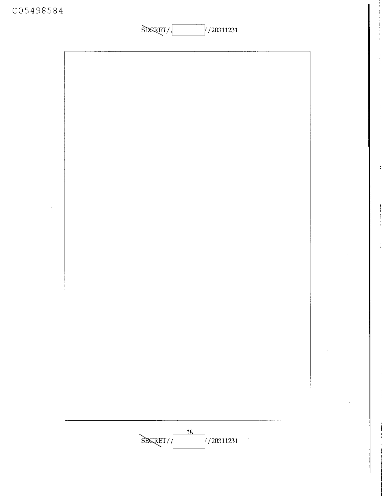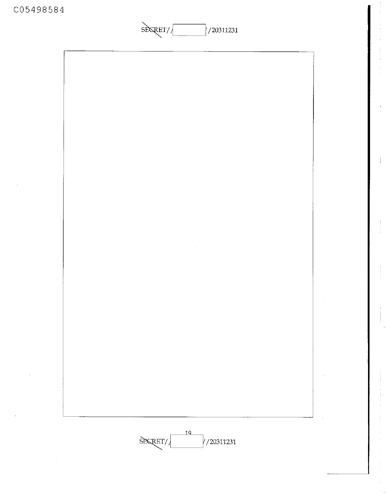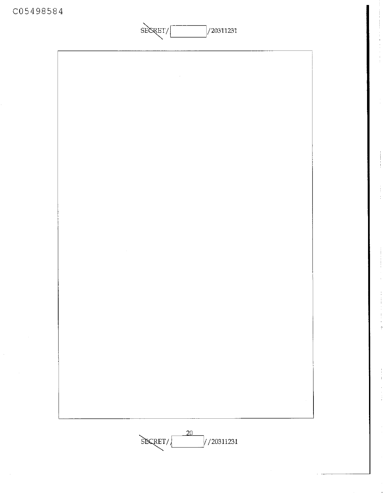C0549858 4





 $\ddot{\phantom{0}}$ 

 $\sim$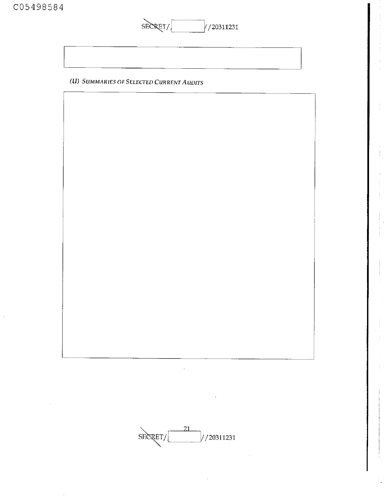$\bar{z}$ 



(U) SUMMARIES OF SELECTED CURRENT AUDITS



 $21$ SECRET/  $]/$  / 20311231

 $\bar{z}$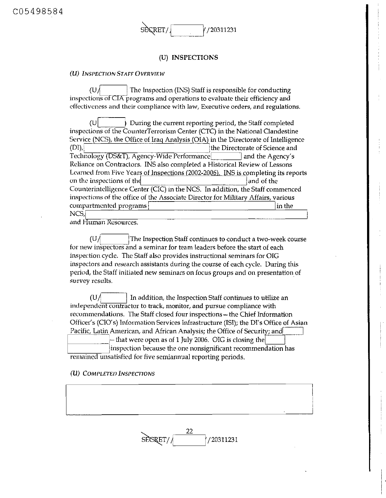| *N K F.I / | /20311231 |
|------------|-----------|
|            |           |

### **(U) INSPECTIONS**

*(U) INSPECTION STAFF OVERVIEW* 

 $(U)$ inspections of CIA programs and operations to evaluate their efficiency and The Inspection (INS) Staff is responsible for conducting effectiveness and their compliance with law, Executive orders, and regulations.

 $(U |$  During the current reporting period, the Staff completed inspections of the CounterTerrorism Center (CTC) in the National Clandestine Service (NCS), the Office of Iraq Analysis (OIA) in the Directorate of Intelligence **(Dl),** the Directorate of Science and Technology (DS&T), Agency-Wide Performance and the Agency's Reliance on Contractors. INS also completed a Historical Review of Lessons Learned from Five Years of Inspections *(2002-2006).* INS is completing its reports on the inspections of the and of the and of the and of the and of the and of the and of the and of the and of the and of the and of the and of the and of the and of the and of the and of the and of the and of the and of th Counterintelligence Center (CIC) in the NCS. In addition, the Staff commenced inspections of the office of the Associate Director for Military Affairs, various compartmented programs in the interval of  $\ln$  the interval of  $\ln$  the interval of  $\ln$ NCS,

and Human Resources.

(U/ The Inspection Staff continues to conduct a two-week course for new inspectors and a seminar for team leaders before the start of each inspection cycle. The Staff also provides instructional seminars for OIG inspectors and research assistants during the course of each cycle. During this period, the Staff initiated new seminars on focus groups and on presentation of survey results.

 $(U)$  In addition, the Inspection Staff continues to utilize an independent contractor to track, monitor, and pursue compliance with recommendations. The Staff closed four inspections — the Chief Information Officer's (CIO's) Information Services infrastructure (ISI); the DI's Office of Asian Pacific, Latin American, and African Analysis; the Office of Security; and

 $-$  that were open as of 1 July 2006. OIG is closing the inspection because the one nonsignificant recommendation has remained unsatisfied for five semiannual reporting periods.

*(U) COMPLETED INSPECTIONS* 

SESRET// 20311231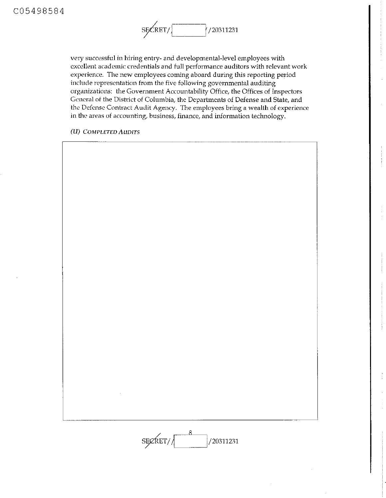

very successful in hiring entry- and developmental-level employees with excellent academic credentials and full performance auditors with relevant work experience. The new employees coming aboard during this reporting period include representation from the five following governmental auditing organizations: the Government Accountability Office, the Offices of Inspectors General of the District of Columbia, the Departments of Defense and State, and the Defense Contract Audit Agency. The employees bring a wealth of experience in the areas of accounting, business, finance, and information technology.

*(U) COMPLETED AUDITS* 

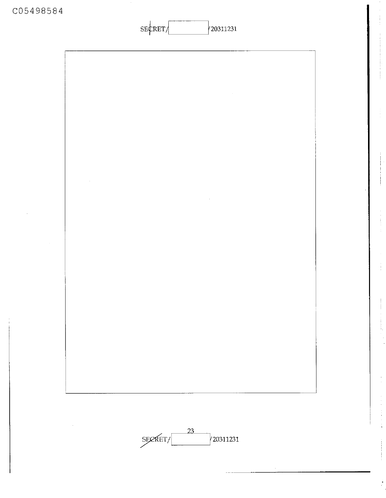





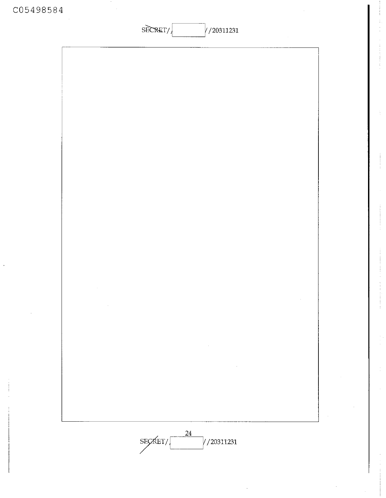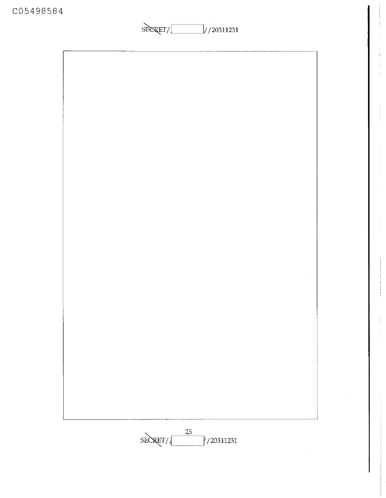| SECRET/ | $\frac{1}{20311231}$ |
|---------|----------------------|
|         |                      |

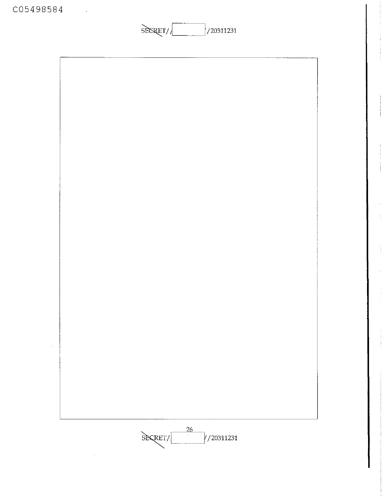$\ddot{\phantom{a}}$ 

| $SE$ <sub>SE</sub> $ST/$ | //20311231 |
|--------------------------|------------|

|                           | $\label{eq:2.1} \mathcal{L}(\mathcal{L}^{\text{max}}_{\mathcal{L}}(\mathcal{L}^{\text{max}}_{\mathcal{L}}(\mathcal{L}^{\text{max}}_{\mathcal{L}}(\mathcal{L}^{\text{max}}_{\mathcal{L}^{\text{max}}_{\mathcal{L}}}))))$ |  |
|---------------------------|-------------------------------------------------------------------------------------------------------------------------------------------------------------------------------------------------------------------------|--|
|                           |                                                                                                                                                                                                                         |  |
|                           |                                                                                                                                                                                                                         |  |
|                           |                                                                                                                                                                                                                         |  |
|                           |                                                                                                                                                                                                                         |  |
|                           |                                                                                                                                                                                                                         |  |
|                           |                                                                                                                                                                                                                         |  |
|                           |                                                                                                                                                                                                                         |  |
|                           |                                                                                                                                                                                                                         |  |
|                           |                                                                                                                                                                                                                         |  |
|                           |                                                                                                                                                                                                                         |  |
|                           |                                                                                                                                                                                                                         |  |
|                           |                                                                                                                                                                                                                         |  |
|                           |                                                                                                                                                                                                                         |  |
|                           |                                                                                                                                                                                                                         |  |
|                           |                                                                                                                                                                                                                         |  |
|                           |                                                                                                                                                                                                                         |  |
| $\frac{26}{1}$<br>SECRET/ | //20311231                                                                                                                                                                                                              |  |
|                           |                                                                                                                                                                                                                         |  |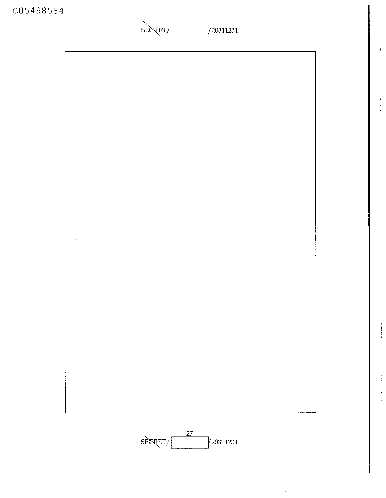





Ť.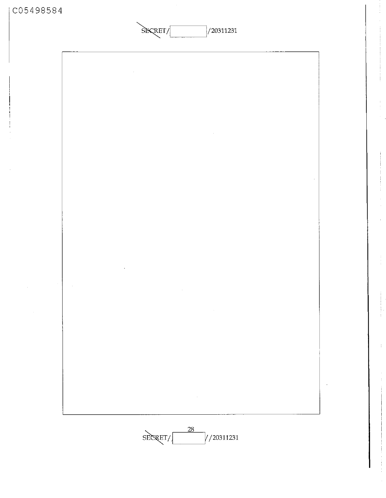|        | <b>SECRET/</b> | $\big]/20311231$ |  |
|--------|----------------|------------------|--|
|        |                |                  |  |
|        |                |                  |  |
|        |                |                  |  |
|        |                |                  |  |
|        |                |                  |  |
|        |                |                  |  |
|        |                |                  |  |
|        |                |                  |  |
|        |                |                  |  |
|        |                |                  |  |
| $\sim$ |                |                  |  |
|        |                | $\sim$           |  |
|        |                |                  |  |
|        |                |                  |  |
|        |                |                  |  |
|        |                |                  |  |

医生物的

SECRET/  $\gamma$ /20311231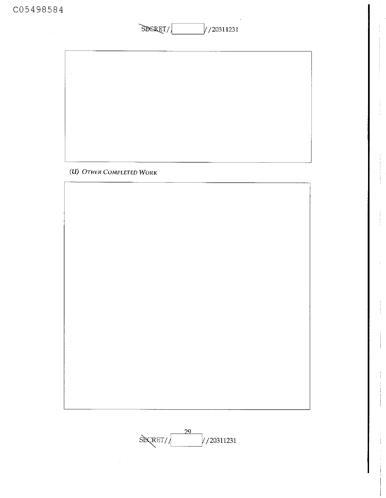$\bar{z}$ 

BEGRET/  $\frac{1}{20311231}$ 

(U) OTHER COMPLETED WORK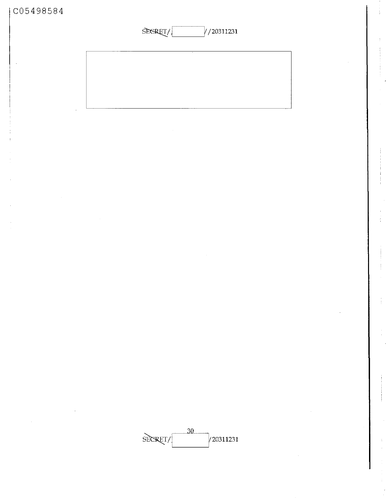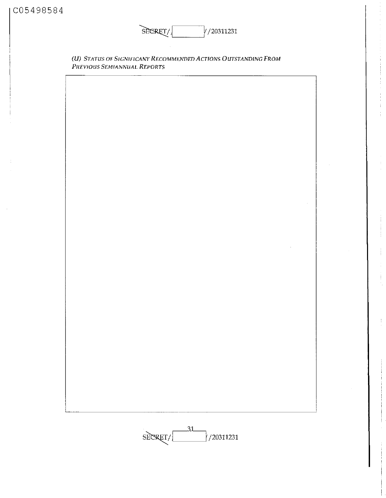| . | 20311231 |
|---|----------|
|   |          |

*(U) STATUS OF SIGNIFICANT RECOMMENDED ACTIONS OUTSTANDING FROM PREVIOUS SEMIANNUAL REPORTS* 



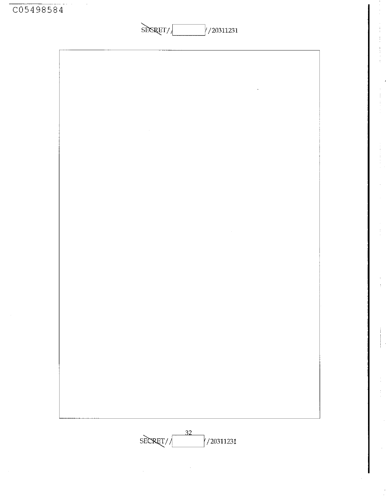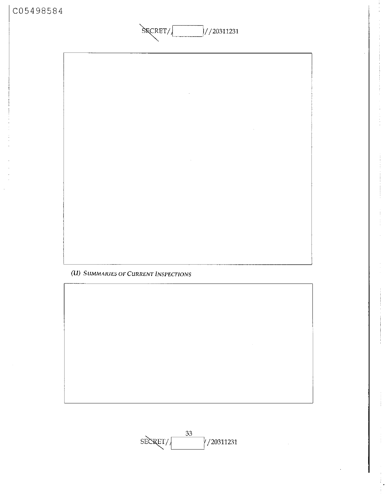| C05498584 |                                      |
|-----------|--------------------------------------|
|           | SECRET/<br>//20311231                |
|           |                                      |
|           |                                      |
|           | $\bar{z}$                            |
|           |                                      |
|           | $\sim$                               |
|           | $\sim$                               |
|           |                                      |
|           |                                      |
|           |                                      |
|           |                                      |
|           | (U) SUMMARIES OF CURRENT INSPECTIONS |
|           |                                      |
|           |                                      |
|           | $\sim$                               |
|           |                                      |
|           |                                      |

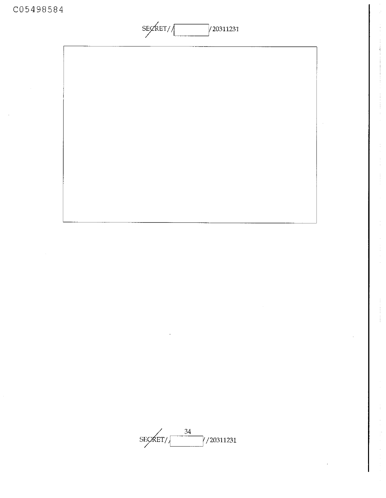$SEZRET / \sqrt{2}$  $\gamma$ 20311231



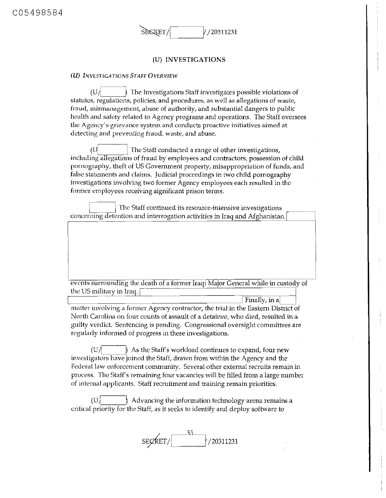## SESRET/ //20311231

## **(U) INVESTIGATIONS**

*(U) INVESTIGATIONS STAFF OVERVIEW* 

 $(U)$  The Investigations Staff investigates possible violations of statutes, regulations, policies, and procedures, as well as allegations of waste, fraud, mismanagement, abuse of authority, and substantial dangers to public health and safety related to Agency programs and operations. The Staff oversees the Agency's grievance system and conducts proactive initiatives aimed at detecting and preventing fraud, waste, and abuse.

 $|U|$  The Staff conducted a range of other investigations, including allegations of fraud by employees and contractors, possession of child pornography, theft of US Government property, misappropriation of funds, and false statements and claims. Judicial proceedings in two child pornography investigations involving two former Agency employees each resulted in the former employees receiving significant prison terms.

The Staff continued its resource-intensive investigations concerning detention and interrogation activities in Iraq and Afghanistan.

events surrounding the death of a former Iraqi Major General while in custody of the US military in Iraq.

| Finally, in a matter involving a former Agency contractor, the trial in the Eastern District of North Carolina on four counts of assault of a detainee, who died, resulted in a guilty verdict. Sentencing is pending. Congressional oversight committees are regularly informed of progress in these investigations.

 $(U/\mathcal{I})$  As the Staff's workload continues to expand, four new investigators have joined the Staff, drawn from within the Agency and the Federal law enforcement community. Several other external recruits remain in process. The Staff's remaining four vacancies will be filled from a large number of internal applicants. Staff recruitment and training remain priorities.

 $(U)$   $\longrightarrow$  Advancing the information technology arena remains a critical priority for the Staff, as it seeks to identify and deploy software to

SECRET/1<sup>35</sup>/20311231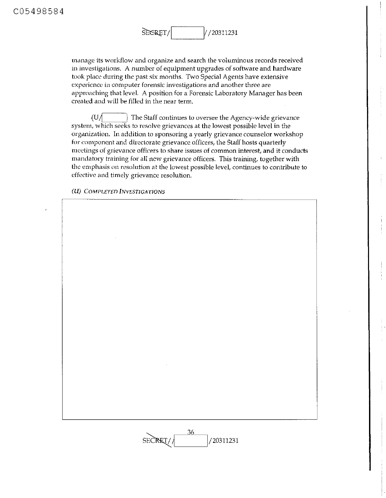# SEGRET/ //20311231

manage its workflow and organize and search the voluminous records received in investigations. A number of equipment upgrades of software and hardware took place during the past six months. Two Special Agents have extensive experience in computer forensic investigations and another three are approaching that level. A position for a Forensic Laboratory Manager has been created and will be filled in the near term.

 $(U/$  The Staff continues to oversee the Agency-wide grievance system, which seeks to resolve grievances at the lowest possible level in the organization. In addition to sponsoring a yearly grievance counselor workshop for component and directorate grievance officers, the Staff hosts quarterly meetings of grievance officers to share issues of common interest, and it conducts mandatory training for all new grievance officers. This training, together with the emphasis on resolution at the lowest possible level, continues to contribute to effective and timely grievance resolution.

*(U) COMPLETED INVESTIGATIONS* 



SECRECY /| /20311231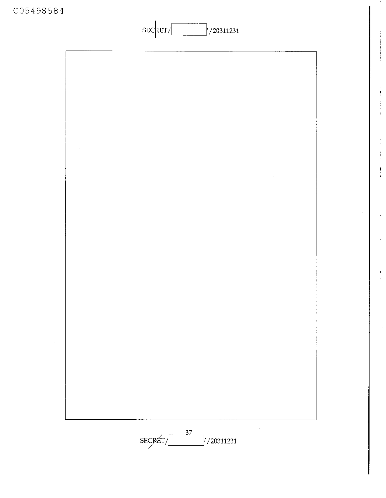

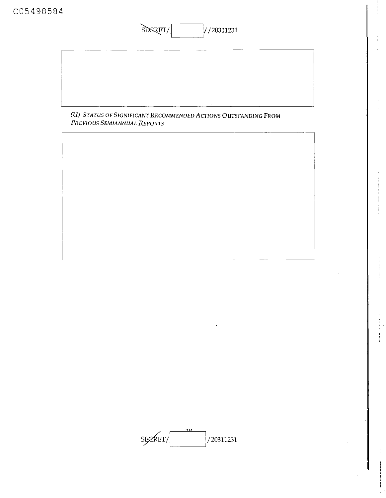SESRET/ //20311231

## (U) STATUS OF SIGNIFICANT RECOMMENDED ACTIONS OUTSTANDING FROM PREVIOUS SEMIANNUAL REPORTS

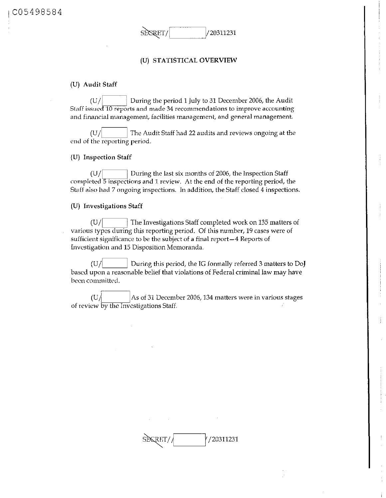| SESRET/ | /20311231 |
|---------|-----------|
|         |           |

#### (U) STATISTICAL OVERVIEW

#### (U) Audit Staff

 $(U/$  During the period 1 July to 31 December 2006, the Audit Staff issued 10 reports and made 34 recommendations to improve accounting and financial management, facilities management, and general management.

 $(U/$  The Audit Staff had 22 audits and reviews ongoing at the end of the reporting period.

#### (U) Inspection Staff

 $(U/$  During the last six months of 2006, the Inspection Staff completed 5 inspections and 1 review. At the end of the reporting period, the Staff also had 7 ongoing inspections. In addition, the Staff closed 4 inspections.

(U) Investigations Staff

(U/ The Investigations Staff completed work on 135 matters of various types during this reporting period. Of this number, 19 cases were of sufficient significance to be the subject of a final report—4 Reports of Investigation and 15 Disposition Memoranda.

(U/ During this period, the IG formally referred 3 matters to DoJ based upon a reasonable belief that violations of Federal criminal law may have been committed.

 $(U,$ of review by the Investigations Staff. As of 31 December 2006,134 matters were in various stages

/ 20311231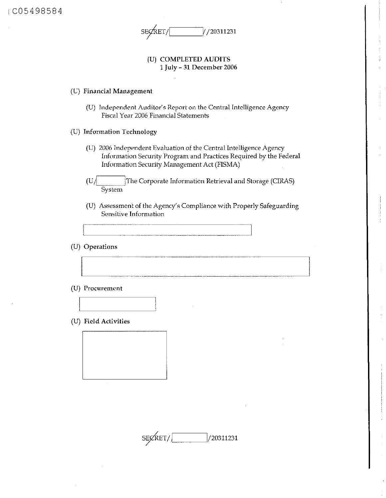SECRET/ 1/20311231

## (U) COMPLETED AUDITS 1 July - 31 December 2006

#### (U) Financial Management

- (U) Independent Auditor's Report on the Central Intelligence Agency Fiscal Year 2006 Financial Statements
- (U) Information Technology
	- (U) 2006 Independent Evaluation of the Central Intelligence Agency Information Security Program and Practices Required by the Federal information Security Management Act (FISMA)
	- (U/| |The Corporate Information Retrieval and Storage (CIRAS) System
	- (U) Assessment of the Agency's Compliance with Properly Safeguarding Sensitive Information
- (U) Operations

(U) Procurement

(U) Field Activities

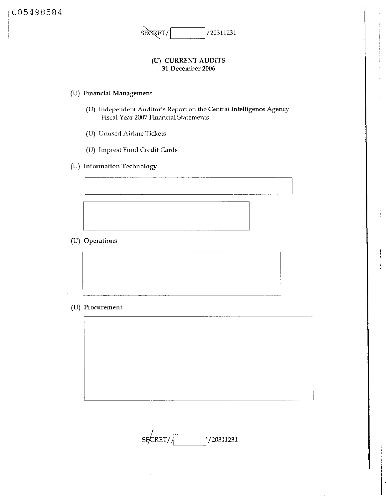SECRET/ /20311231

### (U) CURRENT AUDITS 31 December 2006

## (U) Financial Management

- (U) Independent Auditor's Report on the Central Intelligence Agency Fiscal Year 2007 Financial Statements
- (U) Unused Airline Tickets
- (U) Imprest Fund Credit Cards
- (U) Information Technology

(U) Operations

(U) Procurement

SECRET/120311231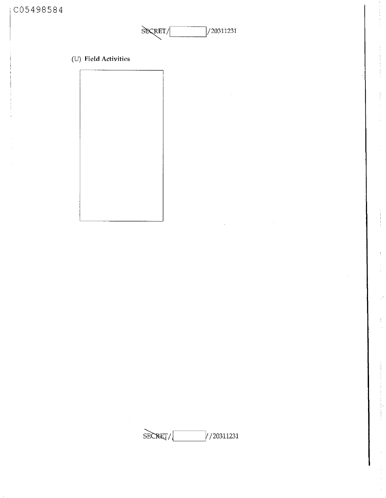## C0549858 4



(U) Field Activities



 $\frac{1}{4}$ 

 $\frac{1}{2}$ 

SECRET/ 1/ 20311231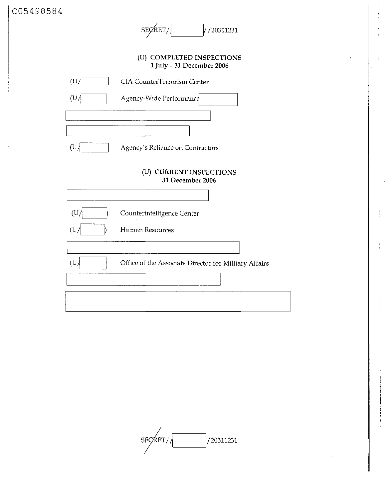| C05498584 |     |                                                        |
|-----------|-----|--------------------------------------------------------|
|           |     | /20311231<br>SECRET/                                   |
|           |     | (U) COMPLETED INSPECTIONS<br>1 July - 31 December 2006 |
|           | (U) | CIA CounterTerrorism Center                            |
|           | (U/ | Agency-Wide Performance                                |
|           |     |                                                        |
|           |     |                                                        |
|           | (U) | Agency's Reliance on Contractors                       |
|           |     | (U) CURRENT INSPECTIONS<br>31 December 2006            |
|           |     |                                                        |
|           | (U) | Counterintelligence Center                             |
|           | (U) | Human Resources                                        |
|           |     |                                                        |
|           | (U) | Office of the Associate Director for Military Affairs  |
|           |     |                                                        |
|           |     |                                                        |
|           |     |                                                        |

SECRET/ 120311231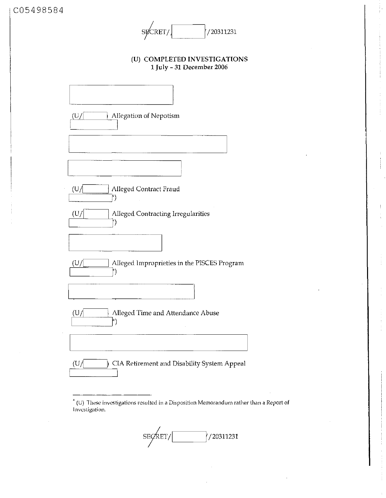|            | RET/<br>/20311231                                                  |
|------------|--------------------------------------------------------------------|
|            | (U) COMPLETED INVESTIGATIONS<br>1 July - 31 December 2006          |
| U          | Allegation of Nepotism                                             |
|            |                                                                    |
|            |                                                                    |
| (U/<br>(U/ | Alleged Contract Fraud<br>r)<br>Alleged Contracting Irregularities |
|            |                                                                    |
| (U/        | Alleged Improprieties in the PISCES Program                        |
|            |                                                                    |
| (U/        | Alleged Time and Attendance Abuse<br>h)                            |
| (U/        | $\,$ CIA Retirement and Disability System Appeal                   |

SEGRET/ / 20311231

<sup>(</sup>U) These investigations resulted in a Disposition Memorandum rather than a Report of Investigation.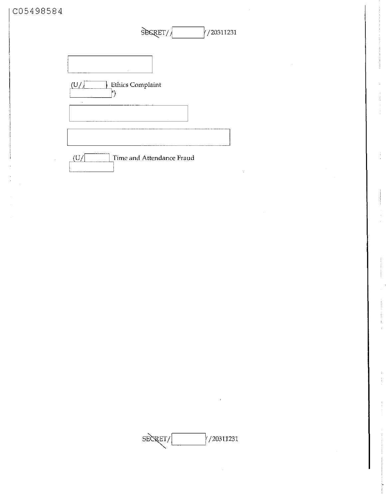| C05498584 |                                                                |
|-----------|----------------------------------------------------------------|
|           | $S$ BSRET/ $\sqrt$<br>//20311231                               |
|           |                                                                |
|           | <b>Ethics Complaint</b><br>(U/<br>$\sim$                       |
|           |                                                                |
|           |                                                                |
|           | Time and Attendance Fraud<br>$(\mathsf{U}/ $<br><b>College</b> |

 $\frac{1}{2}$ 

 $\frac{1}{2}$ 

 $\begin{array}{c} 1 \\ 1 \\ 2 \end{array}$ 

| SECRET, | //20311231 |  |
|---------|------------|--|
|         |            |  |

 $\epsilon_{\rm{max}}$ 

 $\frac{1}{2}$